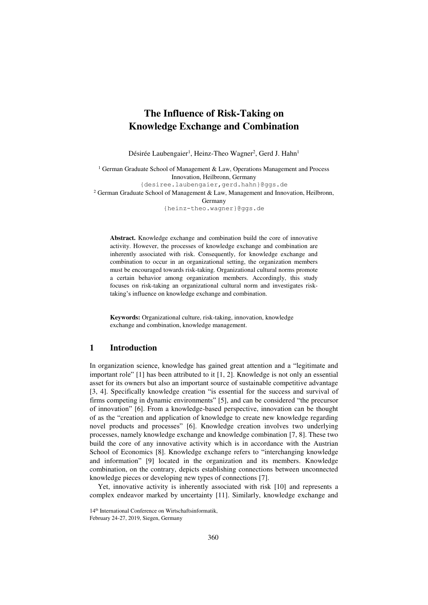# **The Influence of Risk-Taking on Knowledge Exchange and Combination**

Désirée Laubengaier<sup>1</sup>, Heinz-Theo Wagner<sup>2</sup>, Gerd J. Hahn<sup>1</sup>

<sup>1</sup> German Graduate School of Management & Law, Operations Management and Process Innovation, Heilbronn, Germany {desiree.laubengaier,gerd.hahn}@ggs.de <sup>2</sup> German Graduate School of Management & Law, Management and Innovation, Heilbronn, Germany

{heinz-theo.wagner}@ggs.de

**Abstract.** Knowledge exchange and combination build the core of innovative activity. However, the processes of knowledge exchange and combination are inherently associated with risk. Consequently, for knowledge exchange and combination to occur in an organizational setting, the organization members must be encouraged towards risk-taking. Organizational cultural norms promote a certain behavior among organization members. Accordingly, this study focuses on risk-taking an organizational cultural norm and investigates risktaking's influence on knowledge exchange and combination.

**Keywords:** Organizational culture, risk-taking, innovation, knowledge exchange and combination, knowledge management.

# **1 Introduction**

In organization science, knowledge has gained great attention and a "legitimate and important role" [1] has been attributed to it [1, 2]. Knowledge is not only an essential asset for its owners but also an important source of sustainable competitive advantage [3, 4]. Specifically knowledge creation "is essential for the success and survival of firms competing in dynamic environments" [5], and can be considered "the precursor of innovation" [6]. From a knowledge-based perspective, innovation can be thought of as the "creation and application of knowledge to create new knowledge regarding novel products and processes" [6]. Knowledge creation involves two underlying processes, namely knowledge exchange and knowledge combination [7, 8]. These two build the core of any innovative activity which is in accordance with the Austrian School of Economics [8]. Knowledge exchange refers to "interchanging knowledge and information" [9] located in the organization and its members. Knowledge combination, on the contrary, depicts establishing connections between unconnected knowledge pieces or developing new types of connections [7].

Yet, innovative activity is inherently associated with risk [10] and represents a complex endeavor marked by uncertainty [11]. Similarly, knowledge exchange and

<sup>14&</sup>lt;sup>th</sup> International Conference on Wirtschaftsinformatik, February 24-27, 2019, Siegen, Germany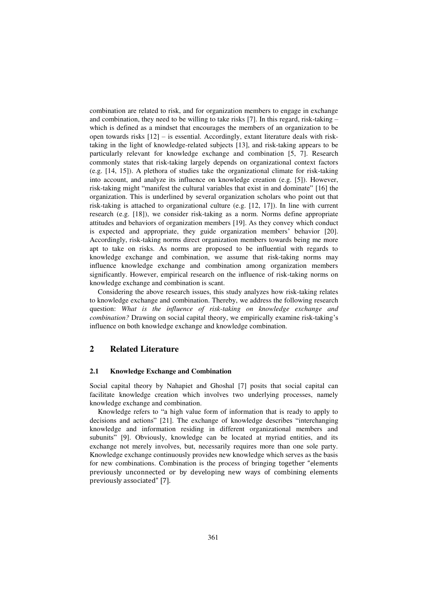combination are related to risk, and for organization members to engage in exchange and combination, they need to be willing to take risks [7]. In this regard, risk-taking – which is defined as a mindset that encourages the members of an organization to be open towards risks [12] – is essential. Accordingly, extant literature deals with risktaking in the light of knowledge-related subjects [13], and risk-taking appears to be particularly relevant for knowledge exchange and combination [5, 7]. Research commonly states that risk-taking largely depends on organizational context factors (e.g. [14, 15]). A plethora of studies take the organizational climate for risk-taking into account, and analyze its influence on knowledge creation (e.g. [5]). However, risk-taking might "manifest the cultural variables that exist in and dominate" [16] the organization. This is underlined by several organization scholars who point out that risk-taking is attached to organizational culture (e.g. [12, 17]). In line with current research (e.g. [18]), we consider risk-taking as a norm. Norms define appropriate attitudes and behaviors of organization members [19]. As they convey which conduct is expected and appropriate, they guide organization members' behavior [20]. Accordingly, risk-taking norms direct organization members towards being me more apt to take on risks. As norms are proposed to be influential with regards to knowledge exchange and combination, we assume that risk-taking norms may influence knowledge exchange and combination among organization members significantly. However, empirical research on the influence of risk-taking norms on knowledge exchange and combination is scant.

Considering the above research issues, this study analyzes how risk-taking relates to knowledge exchange and combination. Thereby, we address the following research question: *What is the influence of risk-taking on knowledge exchange and combination?* Drawing on social capital theory, we empirically examine risk-taking's influence on both knowledge exchange and knowledge combination.

# **2 Related Literature**

### **2.1 Knowledge Exchange and Combination**

Social capital theory by Nahapiet and Ghoshal [7] posits that social capital can facilitate knowledge creation which involves two underlying processes, namely knowledge exchange and combination.

Knowledge refers to "a high value form of information that is ready to apply to decisions and actions" [21]. The exchange of knowledge describes "interchanging knowledge and information residing in different organizational members and subunits" [9]. Obviously, knowledge can be located at myriad entities, and its exchange not merely involves, but, necessarily requires more than one sole party. Knowledge exchange continuously provides new knowledge which serves as the basis for new combinations. Combination is the process of bringing together "elements" previously unconnected or by developing new ways of combining elements previously associated" [7].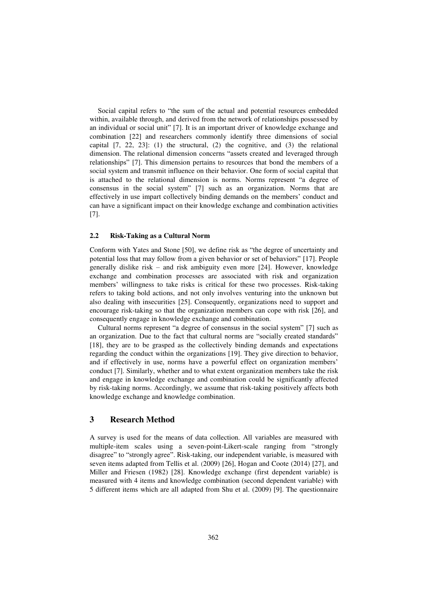Social capital refers to "the sum of the actual and potential resources embedded within, available through, and derived from the network of relationships possessed by an individual or social unit" [7]. It is an important driver of knowledge exchange and combination [22] and researchers commonly identify three dimensions of social capital  $[7, 22, 23]$ : (1) the structural, (2) the cognitive, and (3) the relational dimension. The relational dimension concerns "assets created and leveraged through relationships" [7]. This dimension pertains to resources that bond the members of a social system and transmit influence on their behavior. One form of social capital that is attached to the relational dimension is norms. Norms represent "a degree of consensus in the social system" [7] such as an organization. Norms that are effectively in use impart collectively binding demands on the members' conduct and can have a significant impact on their knowledge exchange and combination activities [7].

#### **2.2 Risk-Taking as a Cultural Norm**

Conform with Yates and Stone [50], we define risk as "the degree of uncertainty and potential loss that may follow from a given behavior or set of behaviors" [17]. People generally dislike risk – and risk ambiguity even more [24]. However, knowledge exchange and combination processes are associated with risk and organization members' willingness to take risks is critical for these two processes. Risk-taking refers to taking bold actions, and not only involves venturing into the unknown but also dealing with insecurities [25]. Consequently, organizations need to support and encourage risk-taking so that the organization members can cope with risk [26], and consequently engage in knowledge exchange and combination.

Cultural norms represent "a degree of consensus in the social system" [7] such as an organization. Due to the fact that cultural norms are "socially created standards" [18], they are to be grasped as the collectively binding demands and expectations regarding the conduct within the organizations [19]. They give direction to behavior, and if effectively in use, norms have a powerful effect on organization members' conduct [7]. Similarly, whether and to what extent organization members take the risk and engage in knowledge exchange and combination could be significantly affected by risk-taking norms. Accordingly, we assume that risk-taking positively affects both knowledge exchange and knowledge combination.

## **3 Research Method**

A survey is used for the means of data collection. All variables are measured with multiple-item scales using a seven-point-Likert-scale ranging from "strongly disagree" to "strongly agree". Risk-taking, our independent variable, is measured with seven items adapted from Tellis et al. (2009) [26], Hogan and Coote (2014) [27], and Miller and Friesen (1982) [28]. Knowledge exchange (first dependent variable) is measured with 4 items and knowledge combination (second dependent variable) with 5 different items which are all adapted from Shu et al. (2009) [9]. The questionnaire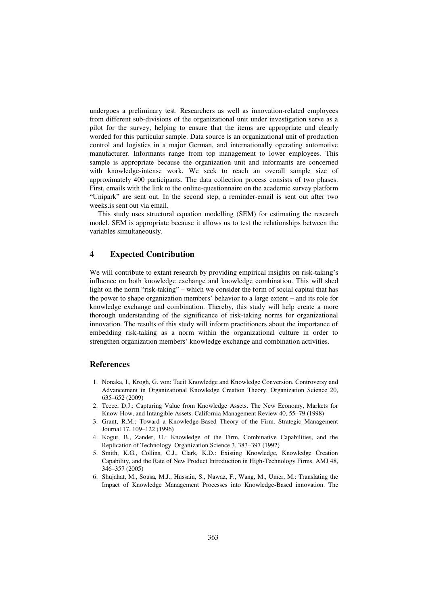undergoes a preliminary test. Researchers as well as innovation-related employees from different sub-divisions of the organizational unit under investigation serve as a pilot for the survey, helping to ensure that the items are appropriate and clearly worded for this particular sample. Data source is an organizational unit of production control and logistics in a major German, and internationally operating automotive manufacturer. Informants range from top management to lower employees. This sample is appropriate because the organization unit and informants are concerned with knowledge-intense work. We seek to reach an overall sample size of approximately 400 participants. The data collection process consists of two phases. First, emails with the link to the online-questionnaire on the academic survey platform "Unipark" are sent out. In the second step, a reminder-email is sent out after two weeks.is sent out via email.

This study uses structural equation modelling (SEM) for estimating the research model. SEM is appropriate because it allows us to test the relationships between the variables simultaneously.

### **4 Expected Contribution**

We will contribute to extant research by providing empirical insights on risk-taking's influence on both knowledge exchange and knowledge combination. This will shed light on the norm "risk-taking" – which we consider the form of social capital that has the power to shape organization members' behavior to a large extent – and its role for knowledge exchange and combination. Thereby, this study will help create a more thorough understanding of the significance of risk-taking norms for organizational innovation. The results of this study will inform practitioners about the importance of embedding risk-taking as a norm within the organizational culture in order to strengthen organization members' knowledge exchange and combination activities.

### **References**

- 1. Nonaka, I., Krogh, G. von: Tacit Knowledge and Knowledge Conversion. Controversy and Advancement in Organizational Knowledge Creation Theory. Organization Science 20, 635–652 (2009)
- 2. Teece, D.J.: Capturing Value from Knowledge Assets. The New Economy, Markets for Know-How, and Intangible Assets. California Management Review 40, 55–79 (1998)
- 3. Grant, R.M.: Toward a Knowledge-Based Theory of the Firm. Strategic Management Journal 17, 109–122 (1996)
- 4. Kogut, B., Zander, U.: Knowledge of the Firm, Combinative Capabilities, and the Replication of Technology. Organization Science 3, 383–397 (1992)
- 5. Smith, K.G., Collins, C.J., Clark, K.D.: Existing Knowledge, Knowledge Creation Capability, and the Rate of New Product Introduction in High-Technology Firms. AMJ 48, 346–357 (2005)
- 6. Shujahat, M., Sousa, M.J., Hussain, S., Nawaz, F., Wang, M., Umer, M.: Translating the Impact of Knowledge Management Processes into Knowledge-Based innovation. The